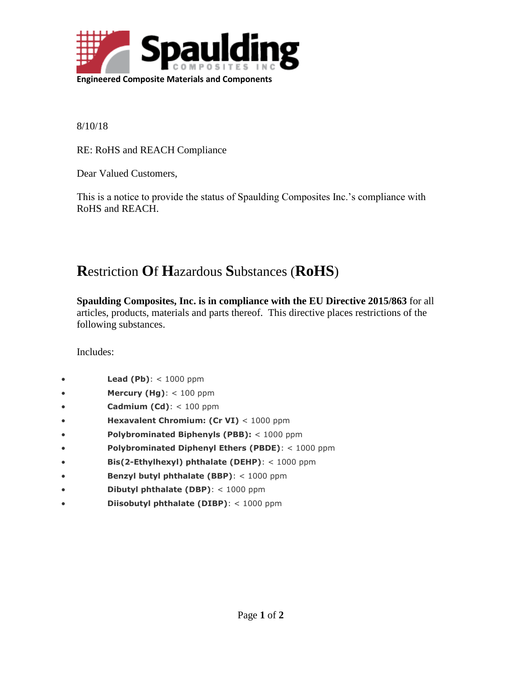

8/10/18

RE: RoHS and REACH Compliance

Dear Valued Customers,

This is a notice to provide the status of Spaulding Composites Inc.'s compliance with RoHS and REACH.

## **R**estriction **O**f **H**azardous **S**ubstances (**RoHS**)

**Spaulding Composites, Inc. is in compliance with the EU Directive 2015/863** for all articles, products, materials and parts thereof. This directive places restrictions of the following substances.

Includes:

- **Lead (Pb)**: < 1000 ppm
- **Mercury (Hg)**: < 100 ppm
- **Cadmium (Cd)**: < 100 ppm
- **Hexavalent Chromium: (Cr VI)** < 1000 ppm
- **Polybrominated Biphenyls (PBB):** < 1000 ppm
- **Polybrominated Diphenyl Ethers (PBDE)**: < 1000 ppm
- **Bis(2-Ethylhexyl) phthalate (DEHP)**: < 1000 ppm
- **Benzyl butyl phthalate (BBP)**: < 1000 ppm
- **Dibutyl phthalate (DBP)**: < 1000 ppm
- **Diisobutyl phthalate (DIBP)**: < 1000 ppm